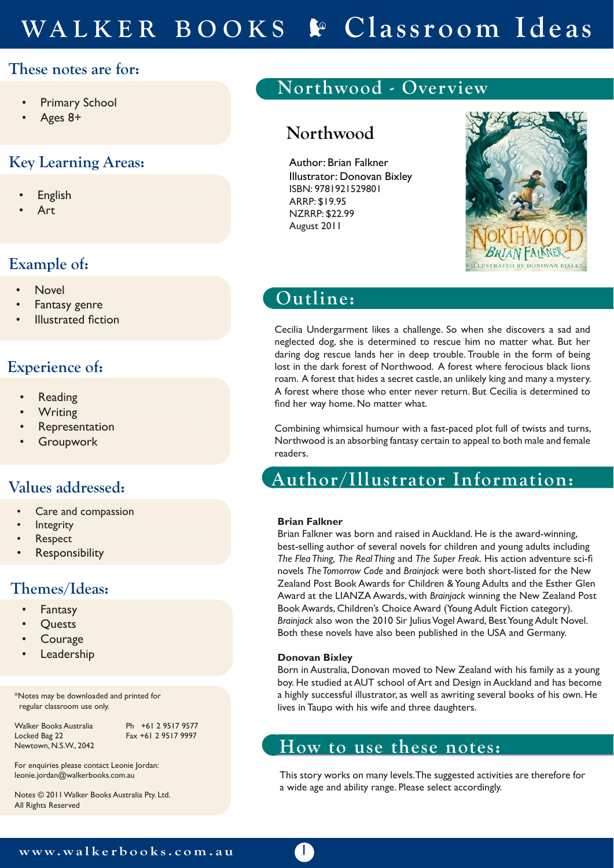# **WALKER BOOKS Classroom Ideas**

### **These notes are for:**

- **Primary School**
- Ages 8+

### **Key Learning Areas:**

- **English**
- Art

### **Example of:**

- Novel
- Fantasy genre
- **Illustrated fiction**

#### **Experience of:**

- **Reading**
- **Writing**
- **Representation**
- **Groupwork**

### **Values addressed:**

- Care and compassion
- **Integrity**
- **Respect**
- **Responsibility**

### **Themes/Ideas:**

- **Fantasy**
- **Quests**
- **Courage**
- **Leadership**

\*Notes may be downloaded and printed for regular classroom use only.

Walker Books Australia Ph +61 2 9517 9577 Newtown, N.S.W., 2042

Fax +61 2 9517 9997

For enquiries please contact Leonie Jordan: leonie.jordan@walkerbooks.com.au

Notes © 2011 Walker Books Australia Pty. Ltd. All Rights Reserved

## **Northwood - Overview**

### **Northwood**

Author: Brian Falkner Illustrator: Donovan Bixley ISBN: 9781921529801 ARRP: \$19.95 NZRRP: \$22.99 August 2011



## **Outline:**

Cecilia Undergarment likes a challenge. So when she discovers a sad and neglected dog, she is determined to rescue him no matter what. But her daring dog rescue lands her in deep trouble. Trouble in the form of being lost in the dark forest of Northwood. A forest where ferocious black lions roam. A forest that hides a secret castle, an unlikely king and many a mystery. A forest where those who enter never return. But Cecilia is determined to find her way home. No matter what.

Combining whimsical humour with a fast-paced plot full of twists and turns, Northwood is an absorbing fantasy certain to appeal to both male and female readers.

### **Author/Illustrator Information:**

#### **Brian Falkner Author/Illustrator Information**

Brian Falkner was born and raised in Auckland. He is the award-winning, best-selling author of several novels for children and young adults including *The Flea Thing, The Real Thing* and *The Super Freak.* His action adventure sci-fi novels *The Tomorrow Code* and *Brainjack* were both short-listed for the New Zealand Post Book Awards for Children & Young Adults and the Esther Glen Award at the LIANZA Awards, with *Brainjack* winning the New Zealand Post Book Awards, Children's Choice Award (Young Adult Fiction category). *Brainjack* also won the 2010 Sir Julius Vogel Award, Best Young Adult Novel. Both these novels have also been published in the USA and Germany.

#### **Donovan Bixley**

 $\mathbb{T}$ 

Born in Australia, Donovan moved to New Zealand with his family as a young boy. He studied at AUT school of Art and Design in Auckland and has become a highly successful illustrator, as well as awriting several books of his own. He lives in Taupo with his wife and three daughters.

### **How to use these notes:**

This story works on many levels. The suggested activities are therefore for a wide age and ability range. Please select accordingly.